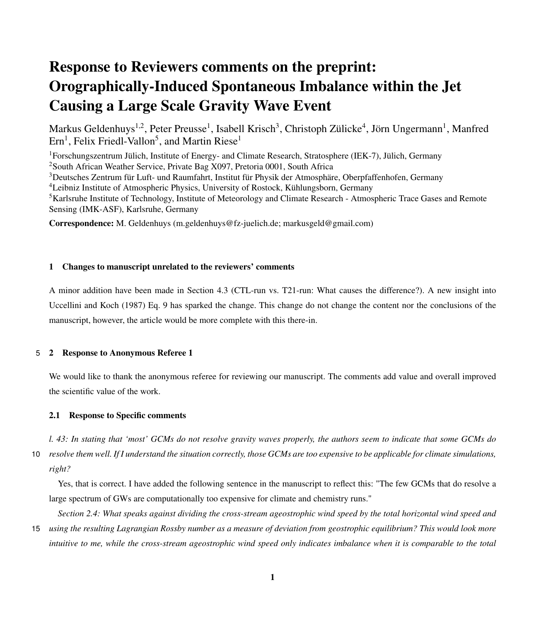# Response to Reviewers comments on the preprint: Orographically-Induced Spontaneous Imbalance within the Jet Causing a Large Scale Gravity Wave Event

Markus Geldenhuys<sup>1,2</sup>, Peter Preusse<sup>1</sup>, Isabell Krisch<sup>3</sup>, Christoph Zülicke<sup>4</sup>, Jörn Ungermann<sup>1</sup>, Manfred  $Ern<sup>1</sup>$ , Felix Friedl-Vallon<sup>5</sup>, and Martin Riese<sup>1</sup>

Forschungszentrum Jülich, Institute of Energy- and Climate Research, Stratosphere (IEK-7), Jülich, Germany <sup>2</sup>South African Weather Service, Private Bag X097, Pretoria 0001, South Africa Deutsches Zentrum für Luft- und Raumfahrt, Institut für Physik der Atmosphäre, Oberpfaffenhofen, Germany Leibniz Institute of Atmospheric Physics, University of Rostock, Kühlungsborn, Germany Karlsruhe Institute of Technology, Institute of Meteorology and Climate Research - Atmospheric Trace Gases and Remote Sensing (IMK-ASF), Karlsruhe, Germany

Correspondence: M. Geldenhuys (m.geldenhuys@fz-juelich.de; markusgeld@gmail.com)

#### 1 Changes to manuscript unrelated to the reviewers' comments

A minor addition have been made in Section 4.3 (CTL-run vs. T21-run: What causes the difference?). A new insight into [Uccellini and Koch](#page-8-0) [\(1987\)](#page-8-0) Eq. 9 has sparked the change. This change do not change the content nor the conclusions of the manuscript, however, the article would be more complete with this there-in.

#### 5 2 Response to Anonymous Referee 1

We would like to thank the anonymous referee for reviewing our manuscript. The comments add value and overall improved the scientific value of the work.

#### 2.1 Response to Specific comments

*l. 43: In stating that 'most' GCMs do not resolve gravity waves properly, the authors seem to indicate that some GCMs do* 10 *resolve them well. If I understand the situation correctly, those GCMs are too expensive to be applicable for climate simulations, right?*

Yes, that is correct. I have added the following sentence in the manuscript to reflect this: "The few GCMs that do resolve a large spectrum of GWs are computationally too expensive for climate and chemistry runs."

*Section 2.4: What speaks against dividing the cross-stream ageostrophic wind speed by the total horizontal wind speed and* 15 *using the resulting Lagrangian Rossby number as a measure of deviation from geostrophic equilibrium? This would look more*

*intuitive to me, while the cross-stream ageostrophic wind speed only indicates imbalance when it is comparable to the total*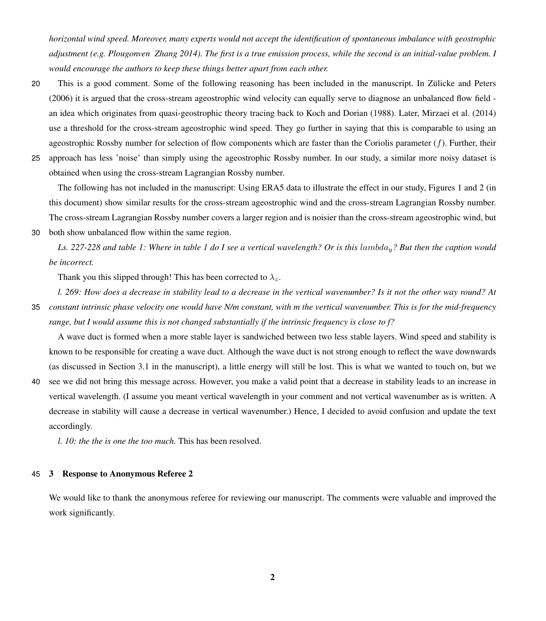*horizontal wind speed. Moreover, many experts would not accept the identification of spontaneous imbalance with geostrophic adjustment (e.g. Plougonven Zhang 2014). The first is a true emission process, while the second is an initial-value problem. I would encourage the authors to keep these things better apart from each other.*

- 20 This is a good comment. Some of the following reasoning has been included in the manuscript. In [Zülicke and Peters](#page-8-1) [\(2006\)](#page-8-1) it is argued that the cross-stream ageostrophic wind velocity can equally serve to diagnose an unbalanced flow field an idea which originates from quasi-geostrophic theory tracing back to [Koch and Dorian](#page-8-2) [\(1988\)](#page-8-2). Later, [Mirzaei et al.](#page-8-3) [\(2014\)](#page-8-3) use a threshold for the cross-stream ageostrophic wind speed. They go further in saying that this is comparable to using an ageostrophic Rossby number for selection of flow components which are faster than the Coriolis parameter  $(f)$ . Further, their
- 25 approach has less 'noise' than simply using the ageostrophic Rossby number. In our study, a similar more noisy dataset is obtained when using the cross-stream Lagrangian Rossby number.

The following has not included in the manuscript: Using ERA5 data to illustrate the effect in our study, Figures [1](#page-2-0) and [2](#page-3-0) (in this document) show similar results for the cross-stream ageostrophic wind and the cross-stream Lagrangian Rossby number. The cross-stream Lagrangian Rossby number covers a larger region and is noisier than the cross-stream ageostrophic wind, but 30 both show unbalanced flow within the same region.

Ls. 227-228 and table 1: Where in table 1 do I see a vertical wavelength? Or is this lambda<sub>y</sub>? But then the caption would *be incorrect.*

Thank you this slipped through! This has been corrected to  $\lambda_z$ .

*l. 269: How does a decrease in stability lead to a decrease in the vertical wavenumber? Is it not the other way round? At*

35 *constant intrinsic phase velocity one would have N/m constant, with m the vertical wavenumber. This is for the mid-frequency range, but I would assume this is not changed substantially if the intrinsic frequency is close to f?*

A wave duct is formed when a more stable layer is sandwiched between two less stable layers. Wind speed and stability is known to be responsible for creating a wave duct. Although the wave duct is not strong enough to reflect the wave downwards (as discussed in Section 3.1 in the manuscript), a little energy will still be lost. This is what we wanted to touch on, but we

40 see we did not bring this message across. However, you make a valid point that a decrease in stability leads to an increase in vertical wavelength. (I assume you meant vertical wavelength in your comment and not vertical wavenumber as is written. A decrease in stability will cause a decrease in vertical wavenumber.) Hence, I decided to avoid confusion and update the text accordingly.

*l. 10: the the is one the too much.* This has been resolved.

#### 45 3 Response to Anonymous Referee 2

We would like to thank the anonymous referee for reviewing our manuscript. The comments were valuable and improved the work significantly.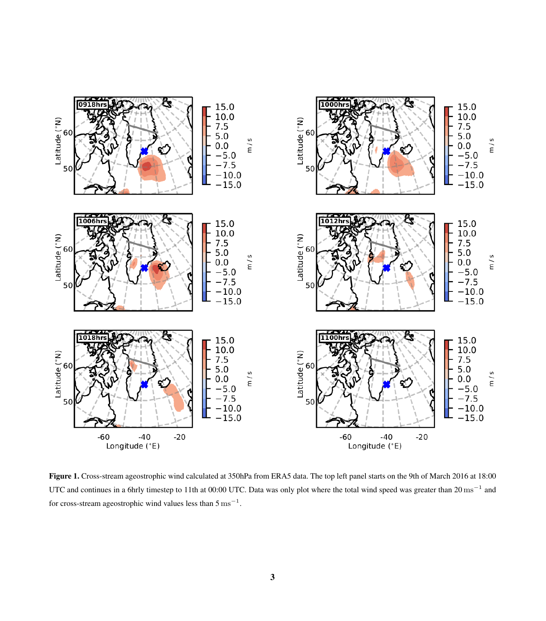<span id="page-2-0"></span>

Figure 1. Cross-stream ageostrophic wind calculated at 350hPa from ERA5 data. The top left panel starts on the 9th of March 2016 at 18:00 UTC and continues in a 6hrly timestep to 11th at 00:00 UTC. Data was only plot where the total wind speed was greater than 20 ms<sup>-1</sup> and for cross-stream ageostrophic wind values less than  $5 \text{ ms}^{-1}$ .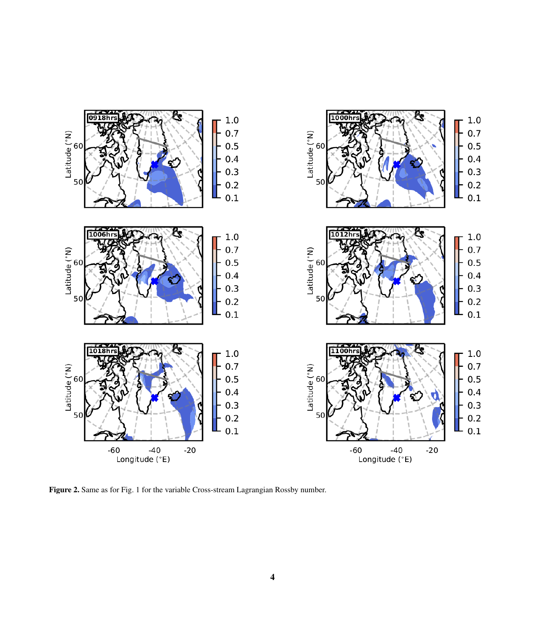<span id="page-3-0"></span>

Figure 2. Same as for Fig. [1](#page-2-0) for the variable Cross-stream Lagrangian Rossby number.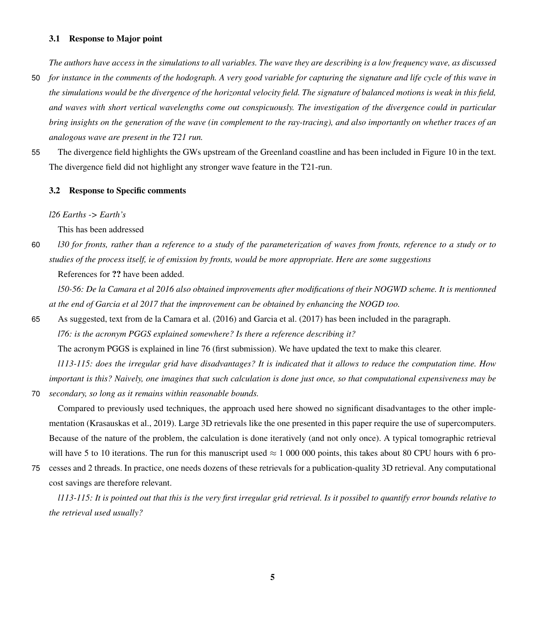#### 3.1 Response to Major point

*The authors have access in the simulations to all variables. The wave they are describing is a low frequency wave, as discussed*

- 50 *for instance in the comments of the hodograph. A very good variable for capturing the signature and life cycle of this wave in the simulations would be the divergence of the horizontal velocity field. The signature of balanced motions is weak in this field, and waves with short vertical wavelengths come out conspicuously. The investigation of the divergence could in particular bring insights on the generation of the wave (in complement to the ray-tracing), and also importantly on whether traces of an analogous wave are present in the T21 run.*
- 55 The divergence field highlights the GWs upstream of the Greenland coastline and has been included in Figure 10 in the text. The divergence field did not highlight any stronger wave feature in the T21-run.

#### 3.2 Response to Specific comments

*l26 Earths -> Earth's*

This has been addressed

60 *l30 for fronts, rather than a reference to a study of the parameterization of waves from fronts, reference to a study or to studies of the process itself, ie of emission by fronts, would be more appropriate. Here are some suggestions*

References for ?? have been added.

*l50-56: De la Camara et al 2016 also obtained improvements after modifications of their NOGWD scheme. It is mentionned at the end of Garcia et al 2017 that the improvement can be obtained by enhancing the NOGD too.*

65 As suggested, text from [de la Camara et al.](#page-8-4) [\(2016\)](#page-8-4) and [Garcia et al.](#page-8-5) [\(2017\)](#page-8-5) has been included in the paragraph. *l76: is the acronym PGGS explained somewhere? Is there a reference describing it?*

The acronym PGGS is explained in line 76 (first submission). We have updated the text to make this clearer.

*l113-115: does the irregular grid have disadvantages? It is indicated that it allows to reduce the computation time. How important is this? Naively, one imagines that such calculation is done just once, so that computational expensiveness may be* 70 *secondary, so long as it remains within reasonable bounds.*

Compared to previously used techniques, the approach used here showed no significant disadvantages to the other implementation [\(Krasauskas et al., 2019\)](#page-8-6). Large 3D retrievals like the one presented in this paper require the use of supercomputers. Because of the nature of the problem, the calculation is done iteratively (and not only once). A typical tomographic retrieval will have 5 to 10 iterations. The run for this manuscript used  $\approx 1,000,000$  points, this takes about 80 CPU hours with 6 pro-

75 cesses and 2 threads. In practice, one needs dozens of these retrievals for a publication-quality 3D retrieval. Any computational cost savings are therefore relevant.

*l113-115: It is pointed out that this is the very first irregular grid retrieval. Is it possibel to quantify error bounds relative to the retrieval used usually?*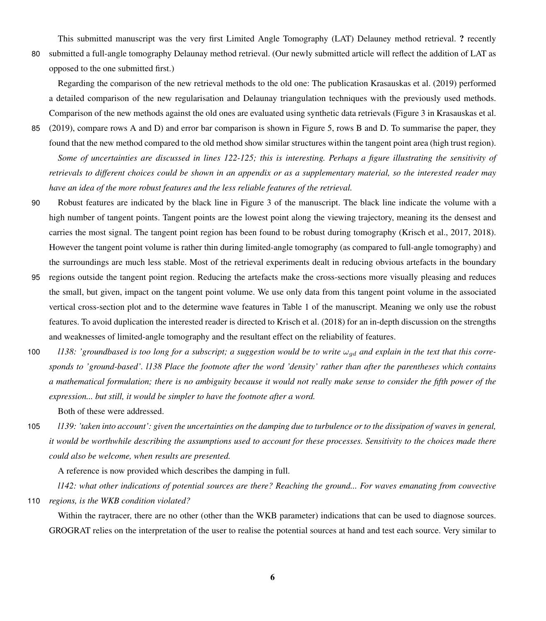This submitted manuscript was the very first Limited Angle Tomography (LAT) Delauney method retrieval. ? recently 80 submitted a full-angle tomography Delaunay method retrieval. (Our newly submitted article will reflect the addition of LAT as opposed to the one submitted first.)

Regarding the comparison of the new retrieval methods to the old one: The publication [Krasauskas et al.](#page-8-6) [\(2019\)](#page-8-6) performed a detailed comparison of the new regularisation and Delaunay triangulation techniques with the previously used methods. Comparison of the new methods against the old ones are evaluated using synthetic data retrievals (Figure 3 in [Krasauskas et al.](#page-8-6)

- 85 [\(2019\)](#page-8-6), compare rows A and D) and error bar comparison is shown in Figure 5, rows B and D. To summarise the paper, they found that the new method compared to the old method show similar structures within the tangent point area (high trust region). *Some of uncertainties are discussed in lines 122-125; this is interesting. Perhaps a figure illustrating the sensitivity of retrievals to different choices could be shown in an appendix or as a supplementary material, so the interested reader may have an idea of the more robust features and the less reliable features of the retrieval.*
- 90 Robust features are indicated by the black line in Figure 3 of the manuscript. The black line indicate the volume with a high number of tangent points. Tangent points are the lowest point along the viewing trajectory, meaning its the densest and carries the most signal. The tangent point region has been found to be robust during tomography [\(Krisch et al., 2017,](#page-8-7) [2018\)](#page-8-8). However the tangent point volume is rather thin during limited-angle tomography (as compared to full-angle tomography) and the surroundings are much less stable. Most of the retrieval experiments dealt in reducing obvious artefacts in the boundary
- 95 regions outside the tangent point region. Reducing the artefacts make the cross-sections more visually pleasing and reduces the small, but given, impact on the tangent point volume. We use only data from this tangent point volume in the associated vertical cross-section plot and to the determine wave features in Table 1 of the manuscript. Meaning we only use the robust features. To avoid duplication the interested reader is directed to [Krisch et al.](#page-8-8) [\(2018\)](#page-8-8) for an in-depth discussion on the strengths and weaknesses of limited-angle tomography and the resultant effect on the reliability of features.
- 100 *l138: 'groundbased is too long for a subscript; a suggestion would be to write*  $\omega_{gd}$  and explain in the text that this corre*sponds to 'ground-based'. l138 Place the footnote after the word 'density' rather than after the parentheses which contains a mathematical formulation; there is no ambiguity because it would not really make sense to consider the fifth power of the expression... but still, it would be simpler to have the footnote after a word.*

Both of these were addressed.

105 *l139: 'taken into account': given the uncertainties on the damping due to turbulence or to the dissipation of waves in general, it would be worthwhile describing the assumptions used to account for these processes. Sensitivity to the choices made there could also be welcome, when results are presented.*

A reference is now provided which describes the damping in full.

*l142: what other indications of potential sources are there? Reaching the ground... For waves emanating from couvective* 110 *regions, is the WKB condition violated?*

Within the raytracer, there are no other (other than the WKB parameter) indications that can be used to diagnose sources. GROGRAT relies on the interpretation of the user to realise the potential sources at hand and test each source. Very similar to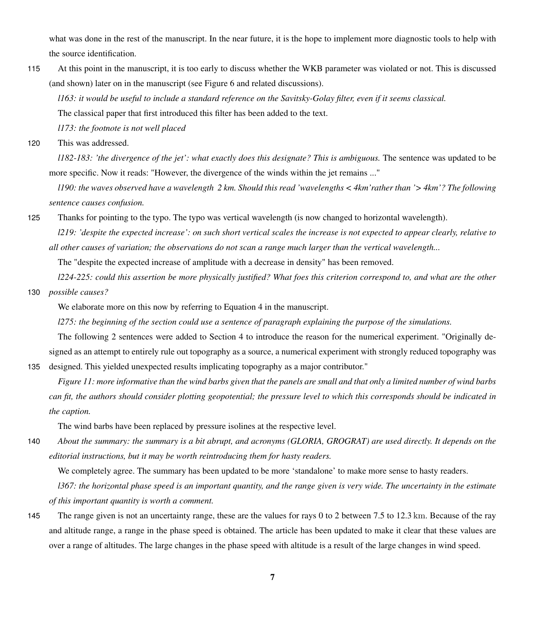what was done in the rest of the manuscript. In the near future, it is the hope to implement more diagnostic tools to help with the source identification.

115 At this point in the manuscript, it is too early to discuss whether the WKB parameter was violated or not. This is discussed (and shown) later on in the manuscript (see Figure 6 and related discussions).

*l163: it would be useful to include a standard reference on the Savitsky-Golay filter, even if it seems classical.*

The classical paper that first introduced this filter has been added to the text.

*l173: the footnote is not well placed*

120 This was addressed.

*l182-183: 'the divergence of the jet': what exactly does this designate? This is ambiguous.* The sentence was updated to be more specific. Now it reads: "However, the divergence of the winds within the jet remains ..."

*l190: the waves observed have a wavelength 2 km. Should this read 'wavelengths < 4km'rather than '> 4km'? The following sentence causes confusion.*

125 Thanks for pointing to the typo. The typo was vertical wavelength (is now changed to horizontal wavelength).

*l219: 'despite the expected increase': on such short vertical scales the increase is not expected to appear clearly, relative to all other causes of variation; the observations do not scan a range much larger than the vertical wavelength...*

The "despite the expected increase of amplitude with a decrease in density" has been removed.

*l224-225: could this assertion be more physically justified? What foes this criterion correspond to, and what are the other* 130 *possible causes?*

We elaborate more on this now by referring to Equation 4 in the manuscript.

*l275: the beginning of the section could use a sentence of paragraph explaining the purpose of the simulations.*

The following 2 sentences were added to Section 4 to introduce the reason for the numerical experiment. "Originally designed as an attempt to entirely rule out topography as a source, a numerical experiment with strongly reduced topography was

135 designed. This yielded unexpected results implicating topography as a major contributor."

*Figure 11: more informative than the wind barbs given that the panels are small and that only a limited number of wind barbs can fit, the authors should consider plotting geopotential; the pressure level to which this corresponds should be indicated in the caption.*

The wind barbs have been replaced by pressure isolines at the respective level.

140 *About the summary: the summary is a bit abrupt, and acronyms (GLORIA, GROGRAT) are used directly. It depends on the editorial instructions, but it may be worth reintroducing them for hasty readers.*

We completely agree. The summary has been updated to be more 'standalone' to make more sense to hasty readers.

*l367: the horizontal phase speed is an important quantity, and the range given is very wide. The uncertainty in the estimate of this important quantity is worth a comment.*

145 The range given is not an uncertainty range, these are the values for rays 0 to 2 between 7.5 to 12.3 km. Because of the ray and altitude range, a range in the phase speed is obtained. The article has been updated to make it clear that these values are over a range of altitudes. The large changes in the phase speed with altitude is a result of the large changes in wind speed.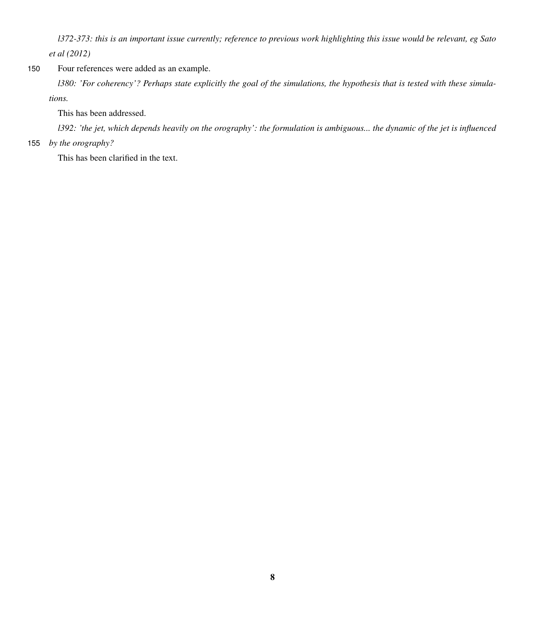*l372-373: this is an important issue currently; reference to previous work highlighting this issue would be relevant, eg Sato et al (2012)*

## 150 Four references were added as an example.

*l380: 'For coherency'? Perhaps state explicitly the goal of the simulations, the hypothesis that is tested with these simulations.*

This has been addressed.

*l392: 'the jet, which depends heavily on the orography': the formulation is ambiguous... the dynamic of the jet is influenced*

### 155 *by the orography?*

This has been clarified in the text.